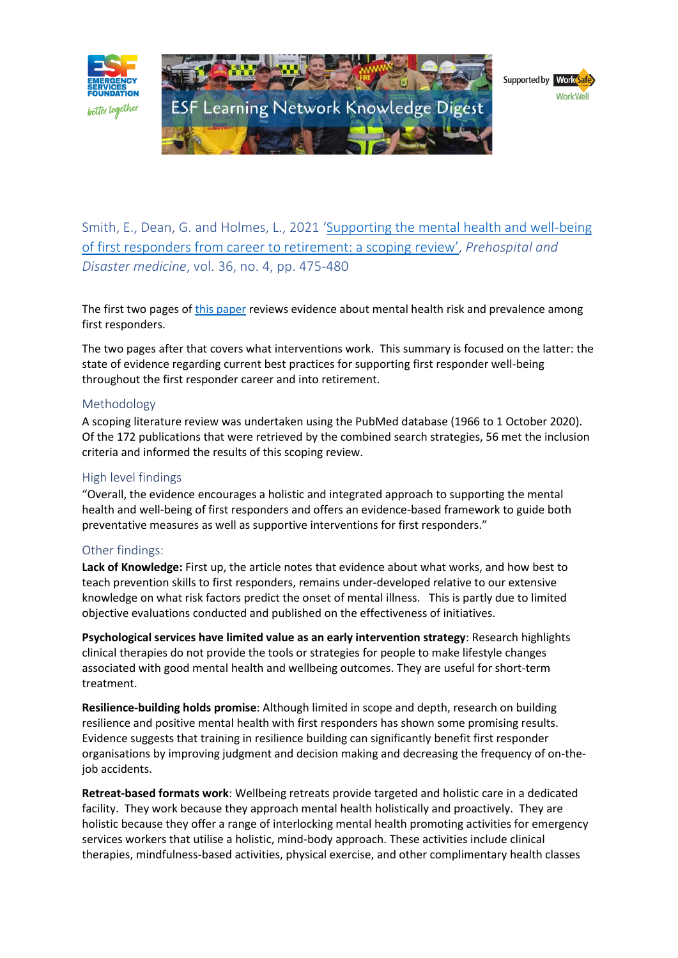

Smith, E., Dean, G. and Holmes, L., 2021 '[Supporting the mental health and well-being](https://esf.com.au/resources/knowledge-hub/for-organisations/what-works/)  [of first responders from career to retirement: a scoping review](https://esf.com.au/resources/knowledge-hub/for-organisations/what-works/)', *Prehospital and Disaster medicine*, vol. 36, no. 4, pp. 475-480

The first two pages of [this paper](https://esf.com.au/resources/knowledge-hub/for-organisations/what-works/) reviews evidence about mental health risk and prevalence among first responders.

The two pages after that covers what interventions work. This summary is focused on the latter: the state of evidence regarding current best practices for supporting first responder well-being throughout the first responder career and into retirement.

# Methodology

A scoping literature review was undertaken using the PubMed database (1966 to 1 October 2020). Of the 172 publications that were retrieved by the combined search strategies, 56 met the inclusion criteria and informed the results of this scoping review.

# High level findings

"Overall, the evidence encourages a holistic and integrated approach to supporting the mental health and well-being of first responders and offers an evidence-based framework to guide both preventative measures as well as supportive interventions for first responders."

# Other findings:

**Lack of Knowledge:** First up, the article notes that evidence about what works, and how best to teach prevention skills to first responders, remains under-developed relative to our extensive knowledge on what risk factors predict the onset of mental illness. This is partly due to limited objective evaluations conducted and published on the effectiveness of initiatives.

**Psychological services have limited value as an early intervention strategy**: Research highlights clinical therapies do not provide the tools or strategies for people to make lifestyle changes associated with good mental health and wellbeing outcomes. They are useful for short-term treatment.

**Resilience-building holds promise**: Although limited in scope and depth, research on building resilience and positive mental health with first responders has shown some promising results. Evidence suggests that training in resilience building can significantly benefit first responder organisations by improving judgment and decision making and decreasing the frequency of on-thejob accidents.

**Retreat-based formats work**: Wellbeing retreats provide targeted and holistic care in a dedicated facility. They work because they approach mental health holistically and proactively. They are holistic because they offer a range of interlocking mental health promoting activities for emergency services workers that utilise a holistic, mind-body approach. These activities include clinical therapies, mindfulness-based activities, physical exercise, and other complimentary health classes